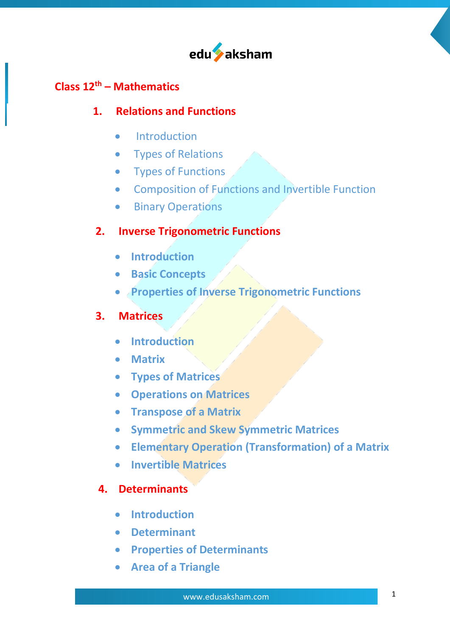

### **Class 12th – Mathematics**

#### **1. Relations and Functions**

- •Introduction
- Types of Relations
- Types of Functions
- Composition of Functions and Invertible Function
- Binary Operations

### **2. Inverse Trigonometric Functions**

- **Introduction**
- **Basic Concepts**
- **Properties of Inverse Trigonometric Functions**

# **3. Matrices**

- **Introduction**
- **Matrix**
- **Types of Matrices**
- **Operations on Matrices**
- **Transpose of a Matrix**
- **Symmetric and Skew Symmetric Matrices**
- **Elementary Operation (Transformation) of a Matrix**
- **Invertible Matrices**

#### **4. Determinants**

- **Introduction**
- **Determinant**
- **Properties of Determinants**
- **Area of a Triangle**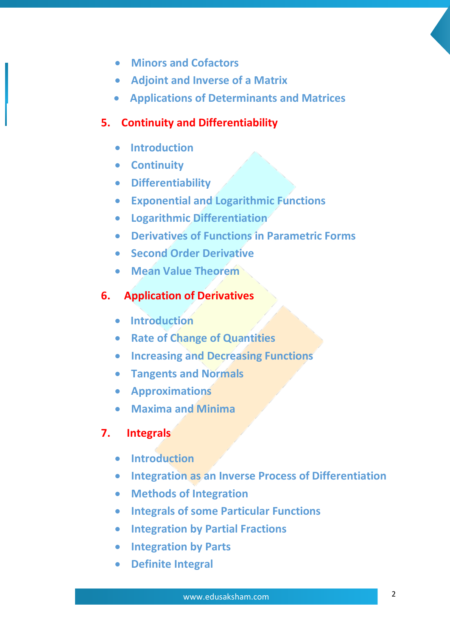- **Minors and Cofactors**
- **Adjoint and Inverse of a Matrix**
- **Applications of Determinants and Matrices**

### **5. Continuity and Differentiability**

- **Introduction**
- **Continuity**
- **Differentiability**
- **Exponential and Logarithmic Functions**
- **Logarithmic Differentiation**
- **Derivatives of Functions in Parametric Forms**
- **Second Order Derivative**
- **Mean Value Theorem**

# **6. Application of Derivatives**

- **Introduction**
- **Rate of Change of Quantities**
- **Increasing and Decreasing Functions**
- **Tangents and Normals**
- **Approximations**
- **Maxima and Minima**

# **7. Integrals**

- **Introduction**
- **Integration as an Inverse Process of Differentiation**
- **Methods of Integration**
- **Integrals of some Particular Functions**
- **Integration by Partial Fractions**
- **Integration by Parts**
- **Definite Integral**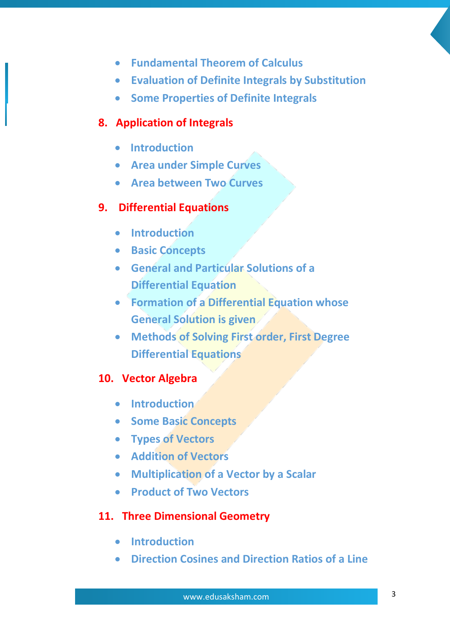- **Fundamental Theorem of Calculus**
- **Evaluation of Definite Integrals by Substitution**
- **Some Properties of Definite Integrals**

### **8. Application of Integrals**

- **Introduction**
- **Area under Simple Curves**
- **Area between Two Curves**

# **9. Differential Equations**

- **Introduction**
- **Basic Concepts**
- **General and Particular Solutions of a Differential Equation**
- **Formation of a Differential Equation whose General Solution is given**
- **Methods of Solving First order, First Degree Differential Equations**

# **10. Vector Algebra**

- **Introduction**
- **Some Basic Concepts**
- **Types of Vectors**
- **Addition of Vectors**
- **Multiplication of a Vector by a Scalar**
- **Product of Two Vectors**

# **11. Three Dimensional Geometry**

- **Introduction**
- **Direction Cosines and Direction Ratios of a Line**